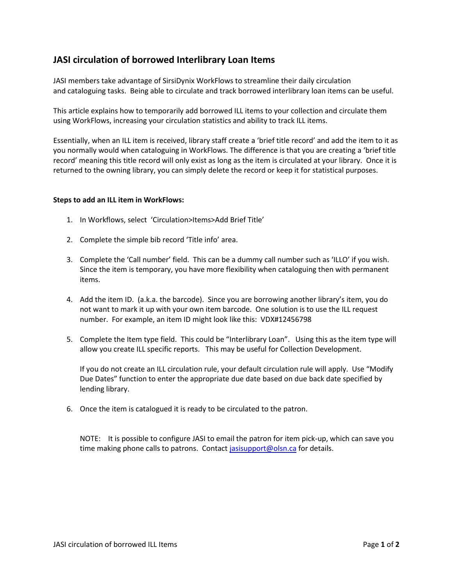## **JASI circulation of borrowed Interlibrary Loan Items**

JASI members take advantage of SirsiDynix WorkFlows to streamline their daily circulation and cataloguing tasks. Being able to circulate and track borrowed interlibrary loan items can be useful.

This article explains how to temporarily add borrowed ILL items to your collection and circulate them using WorkFlows, increasing your circulation statistics and ability to track ILL items.

Essentially, when an ILL item is received, library staff create a 'brief title record' and add the item to it as you normally would when cataloguing in WorkFlows. The difference is that you are creating a 'brief title record' meaning this title record will only exist as long as the item is circulated at your library. Once it is returned to the owning library, you can simply delete the record or keep it for statistical purposes.

## **Steps to add an ILL item in WorkFlows:**

- 1. In Workflows, select 'Circulation>Items>Add Brief Title'
- 2. Complete the simple bib record 'Title info' area.
- 3. Complete the 'Call number' field. This can be a dummy call number such as 'ILLO' if you wish. Since the item is temporary, you have more flexibility when cataloguing then with permanent items.
- 4. Add the item ID. (a.k.a. the barcode). Since you are borrowing another library's item, you do not want to mark it up with your own item barcode. One solution is to use the ILL request number. For example, an item ID might look like this: VDX#12456798
- 5. Complete the Item type field. This could be "Interlibrary Loan". Using this as the item type will allow you create ILL specific reports. This may be useful for Collection Development.

If you do not create an ILL circulation rule, your default circulation rule will apply. Use "Modify Due Dates" function to enter the appropriate due date based on due back date specified by lending library.

6. Once the item is catalogued it is ready to be circulated to the patron.

NOTE: It is possible to configure JASI to email the patron for item pick-up, which can save you time making phone calls to patrons. Contact [jasisupport@olsn.ca](mailto:jasisupport@olsn.ca) for details.